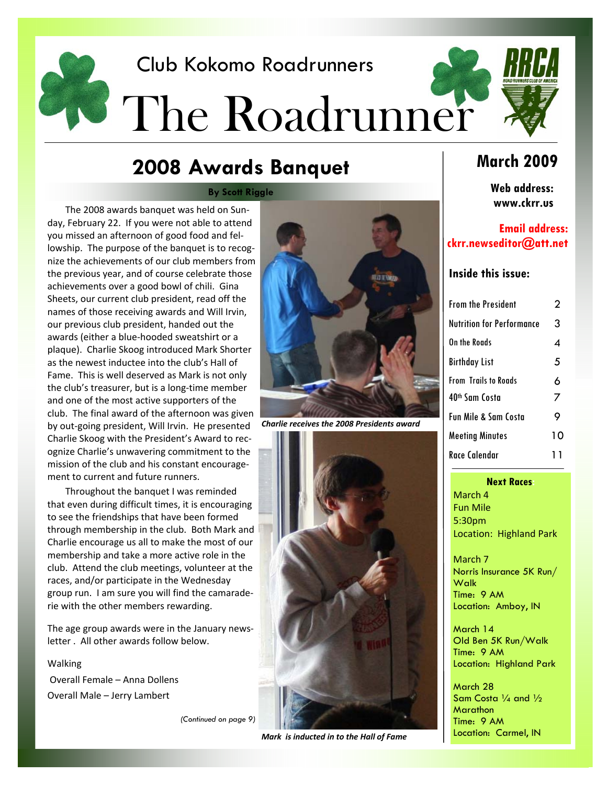

# **2008 Awards Banquet**

**By Scott Riggle** 

The 2008 awards banquet was held on Sun‐ day, February 22. If you were not able to attend you missed an afternoon of good food and fel‐ lowship. The purpose of the banquet is to recog‐ nize the achievements of our club members from the previous year, and of course celebrate those achievements over a good bowl of chili. Gina Sheets, our current club president, read off the names of those receiving awards and Will Irvin, our previous club president, handed out the awards (either a blue‐hooded sweatshirt or a plaque). Charlie Skoog introduced Mark Shorter as the newest inductee into the club's Hall of Fame. This is well deserved as Mark is not only the club's treasurer, but is a long‐time member and one of the most active supporters of the club. The final award of the afternoon was given by out‐going president, Will Irvin. He presented Charlie Skoog with the President's Award to rec‐ ognize Charlie's unwavering commitment to the mission of the club and his constant encourage‐ ment to current and future runners.

Throughout the banquet I was reminded that even during difficult times, it is encouraging to see the friendships that have been formed through membership in the club. Both Mark and Charlie encourage us all to make the most of our membership and take a more active role in the club. Attend the club meetings, volunteer at the races, and/or participate in the Wednesday group run. I am sure you will find the camarade‐ rie with the other members rewarding.

The age group awards were in the January news‐ letter . All other awards follow below.

Walking Overall Female – Anna Dollens Overall Male – Jerry Lambert

*(Continued on page 9)* 

*Mark is inducted in to the Hall of Fame*

*Charlie receives the 2008 Presidents award*

# **March 2009**

**Web address: www.ckrr.us** 

#### **Email address: ckrr.newseditor@att.net**

#### **Inside this issue:**

| From the President        | 2  |
|---------------------------|----|
| Nutrition for Performance | 3  |
| On the Roads              | 4  |
| Birthday List             | 5  |
| From Trails to Roads      | 6  |
| 40th Sam Costa            | 7  |
| Fun Mile & Sam Costa      | 9  |
| Meeting Minutes           | 10 |
| Race Calendar             | 11 |

#### **Next Races:**

March 4 Fun Mile 5:30pm Location: Highland Park

March 7 Norris Insurance 5K Run/ **Walk** Time: 9 AM Location: Amboy, IN

March 14 Old Ben 5K Run/Walk Time: 9 AM Location: Highland Park

March 28 Sam Costa 1/<sub>4</sub> and 1/<sub>2</sub> **Marathon** Time: 9 AM Location: Carmel, IN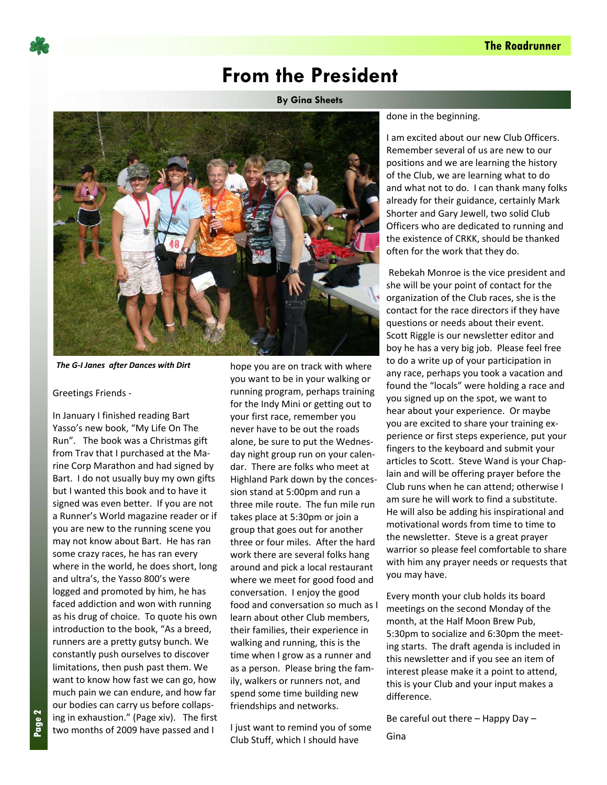

# **From the President**

**By Gina Sheets** 



*The G‐I Janes after Dances with Dirt*

#### Greetings Friends ‐

In January I finished reading Bart Yasso's new book, "My Life On The Run". The book was a Christmas gift from Trav that I purchased at the Ma‐ rine Corp Marathon and had signed by Bart. I do not usually buy my own gifts but I wanted this book and to have it signed was even better. If you are not a Runner's World magazine reader or if you are new to the running scene you may not know about Bart. He has ran some crazy races, he has ran every where in the world, he does short, long and ultra's, the Yasso 800's were logged and promoted by him, he has faced addiction and won with running as his drug of choice. To quote his own introduction to the book, "As a breed, runners are a pretty gutsy bunch. We constantly push ourselves to discover limitations, then push past them. We want to know how fast we can go, how much pain we can endure, and how far our bodies can carry us before collaps‐ ing in exhaustion." (Page xiv). The first two months of 2009 have passed and I

hope you are on track with where you want to be in your walking or running program, perhaps training for the Indy Mini or getting out to your first race, remember you never have to be out the roads alone, be sure to put the Wednes‐ day night group run on your calen‐ dar. There are folks who meet at Highland Park down by the conces‐ sion stand at 5:00pm and run a three mile route. The fun mile run takes place at 5:30pm or join a group that goes out for another three or four miles. After the hard work there are several folks hang around and pick a local restaurant where we meet for good food and conversation. I enjoy the good food and conversation so much as I learn about other Club members, their families, their experience in walking and running, this is the time when I grow as a runner and as a person. Please bring the fam‐ ily, walkers or runners not, and spend some time building new friendships and networks.

I just want to remind you of some Club Stuff, which I should have

done in the beginning.

I am excited about our new Club Officers. Remember several of us are new to our positions and we are learning the history of the Club, we are learning what to do and what not to do. I can thank many folks already for their guidance, certainly Mark Shorter and Gary Jewell, two solid Club Officers who are dedicated to running and the existence of CRKK, should be thanked often for the work that they do.

Rebekah Monroe is the vice president and she will be your point of contact for the organization of the Club races, she is the contact for the race directors if they have questions or needs about their event. Scott Riggle is our newsletter editor and boy he has a very big job. Please feel free to do a write up of your participation in any race, perhaps you took a vacation and found the "locals" were holding a race and you signed up on the spot, we want to hear about your experience. Or maybe you are excited to share your training ex‐ perience or first steps experience, put your fingers to the keyboard and submit your articles to Scott. Steve Wand is your Chap‐ lain and will be offering prayer before the Club runs when he can attend; otherwise I am sure he will work to find a substitute. He will also be adding his inspirational and motivational words from time to time to the newsletter. Steve is a great prayer warrior so please feel comfortable to share with him any prayer needs or requests that you may have.

Every month your club holds its board meetings on the second Monday of the month, at the Half Moon Brew Pub, 5:30pm to socialize and 6:30pm the meet‐ ing starts. The draft agenda is included in this newsletter and if you see an item of interest please make it a point to attend, this is your Club and your input makes a difference.

Be careful out there – Happy Day –

Gina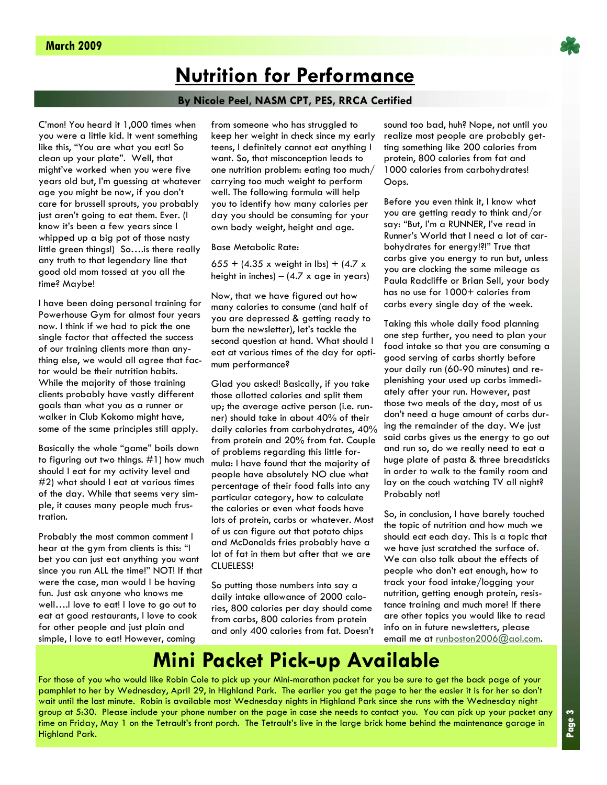# **Nutrition for Performance**

#### **By Nicole Peel, NASM CPT, PES, RRCA Certified**

C'mon! You heard it 1,000 times when you were a little kid. It went something like this, "You are what you eat! So clean up your plate". Well, that might've worked when you were five years old but, I'm guessing at whatever age you might be now, if you don't care for brussell sprouts, you probably just aren't going to eat them. Ever. (I know it's been a few years since I whipped up a big pot of those nasty little green things!) So….is there really any truth to that legendary line that good old mom tossed at you all the time? Maybe!

I have been doing personal training for Powerhouse Gym for almost four years now. I think if we had to pick the one single factor that affected the success of our training clients more than anything else, we would all agree that factor would be their nutrition habits. While the majority of those training clients probably have vastly different goals than what you as a runner or walker in Club Kokomo might have, some of the same principles still apply.

Basically the whole "game" boils down to figuring out two things. #1) how much should I eat for my activity level and #2) what should I eat at various times of the day. While that seems very simple, it causes many people much frustration.

Probably the most common comment I hear at the gym from clients is this: "I bet you can just eat anything you want since you run ALL the time!" NOT! If that were the case, man would I be having fun. Just ask anyone who knows me well….I love to eat! I love to go out to eat at good restaurants, I love to cook for other people and just plain and simple, I love to eat! However, coming

from someone who has struggled to keep her weight in check since my early teens, I definitely cannot eat anything I want. So, that misconception leads to one nutrition problem: eating too much/ carrying too much weight to perform well. The following formula will help you to identify how many calories per day you should be consuming for your own body weight, height and age.

Base Metabolic Rate:

655 + (4.35 x weight in lbs) + (4.7 x height in inches) –  $(4.7 \times \text{age in years})$ 

Now, that we have figured out how many calories to consume (and half of you are depressed & getting ready to burn the newsletter), let's tackle the second question at hand. What should I eat at various times of the day for optimum performance?

Glad you asked! Basically, if you take those allotted calories and split them up; the average active person (i.e. runner) should take in about 40% of their daily calories from carbohydrates, 40% from protein and 20% from fat. Couple of problems regarding this little formula: I have found that the majority of people have absolutely NO clue what percentage of their food falls into any particular category, how to calculate the calories or even what foods have lots of protein, carbs or whatever. Most of us can figure out that potato chips and McDonalds fries probably have a lot of fat in them but after that we are CLUELESS!

So putting those numbers into say a daily intake allowance of 2000 calories, 800 calories per day should come from carbs, 800 calories from protein and only 400 calories from fat. Doesn't sound too bad, huh? Nope, not until you realize most people are probably getting something like 200 calories from protein, 800 calories from fat and 1000 calories from carbohydrates! Oops.

Before you even think it, I know what you are getting ready to think and/or say: "But, I'm a RUNNER, I've read in Runner's World that I need a lot of carbohydrates for energy!?!" True that carbs give you energy to run but, unless you are clocking the same mileage as Paula Radcliffe or Brian Sell, your body has no use for 1000+ calories from carbs every single day of the week.

Taking this whole daily food planning one step further, you need to plan your food intake so that you are consuming a good serving of carbs shortly before your daily run (60-90 minutes) and replenishing your used up carbs immediately after your run. However, past those two meals of the day, most of us don't need a huge amount of carbs during the remainder of the day. We just said carbs gives us the energy to go out and run so, do we really need to eat a huge plate of pasta & three breadsticks in order to walk to the family room and lay on the couch watching TV all night? Probably not!

So, in conclusion, I have barely touched the topic of nutrition and how much we should eat each day. This is a topic that we have just scratched the surface of. We can also talk about the effects of people who don't eat enough, how to track your food intake/logging your nutrition, getting enough protein, resistance training and much more! If there are other topics you would like to read info on in future newsletters, please email me at runboston2006@aol.com.

# **Mini Packet Pick-up Available**

For those of you who would like Robin Cole to pick up your Mini-marathon packet for you be sure to get the back page of your pamphlet to her by Wednesday, April 29, in Highland Park. The earlier you get the page to her the easier it is for her so don't wait until the last minute. Robin is available most Wednesday nights in Highland Park since she runs with the Wednesday night group at 5:30. Please include your phone number on the page in case she needs to contact you. You can pick up your packet any time on Friday, May 1 on the Tetrault's front porch. The Tetrault's live in the large brick home behind the maintenance garage in Highland Park.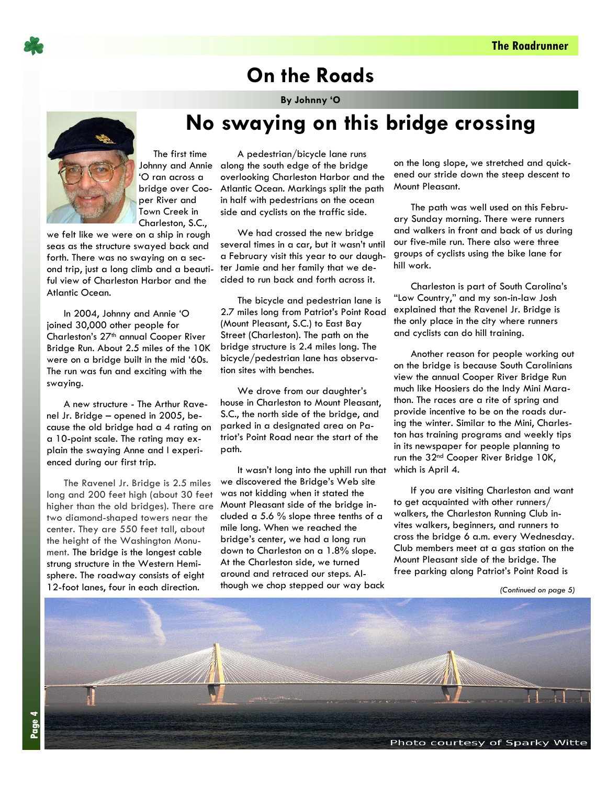![](_page_3_Picture_1.jpeg)

# **On the Roads**

**By Johnny 'O** 

**No swaying on this bridge crossing** 

![](_page_3_Picture_4.jpeg)

 The first time 'O ran across a bridge over Cooper River and Town Creek in Charleston, S.C.,

we felt like we were on a ship in rough seas as the structure swayed back and forth. There was no swaying on a second trip, just a long climb and a beautiful view of Charleston Harbor and the Atlantic Ocean.

In 2004, Johnny and Annie 'O joined 30,000 other people for Charleston's 27<sup>th</sup> annual Cooper River Bridge Run. About 2.5 miles of the 10K were on a bridge built in the mid '60s. The run was fun and exciting with the swaying.

A new structure - The Arthur Ravenel Jr. Bridge – opened in 2005, because the old bridge had a 4 rating on a 10-point scale. The rating may explain the swaying Anne and I experienced during our first trip.

The Ravenel Jr. Bridge is 2.5 miles long and 200 feet high (about 30 feet higher than the old bridges). There are two diamond-shaped towers near the center. They are 550 feet tall, about the height of the Washington Monument. The bridge is the longest cable strung structure in the Western Hemisphere. The roadway consists of eight 12-foot lanes, four in each direction.

Johnny and Annie along the south edge of the bridge A pedestrian/bicycle lane runs overlooking Charleston Harbor and the Atlantic Ocean. Markings split the path in half with pedestrians on the ocean side and cyclists on the traffic side.

> We had crossed the new bridge several times in a car, but it wasn't until a February visit this year to our daughter Jamie and her family that we decided to run back and forth across it.

> The bicycle and pedestrian lane is 2.7 miles long from Patriot's Point Road (Mount Pleasant, S.C.) to East Bay Street (Charleston). The path on the bridge structure is 2.4 miles long. The bicycle/pedestrian lane has observation sites with benches.

We drove from our daughter's house in Charleston to Mount Pleasant, S.C., the north side of the bridge, and parked in a designated area on Patriot's Point Road near the start of the path.

It wasn't long into the uphill run that we discovered the Bridge's Web site was not kidding when it stated the Mount Pleasant side of the bridge included a 5.6 % slope three tenths of a mile long. When we reached the bridge's center, we had a long run down to Charleston on a 1.8% slope. At the Charleston side, we turned around and retraced our steps. Although we chop stepped our way back

on the long slope, we stretched and quickened our stride down the steep descent to Mount Pleasant.

The path was well used on this February Sunday morning. There were runners and walkers in front and back of us during our five-mile run. There also were three groups of cyclists using the bike lane for hill work.

Charleston is part of South Carolina's "Low Country," and my son-in-law Josh explained that the Ravenel Jr. Bridge is the only place in the city where runners and cyclists can do hill training.

Another reason for people working out on the bridge is because South Carolinians view the annual Cooper River Bridge Run much like Hoosiers do the Indy Mini Marathon. The races are a rite of spring and provide incentive to be on the roads during the winter. Similar to the Mini, Charleston has training programs and weekly tips in its newspaper for people planning to run the 32<sup>nd</sup> Cooper River Bridge 10K, which is April 4.

If you are visiting Charleston and want to get acquainted with other runners/ walkers, the Charleston Running Club invites walkers, beginners, and runners to cross the bridge 6 a.m. every Wednesday. Club members meet at a gas station on the Mount Pleasant side of the bridge. The free parking along Patriot's Point Road is

*<sup>(</sup>Continued on page 5)* 

![](_page_3_Picture_21.jpeg)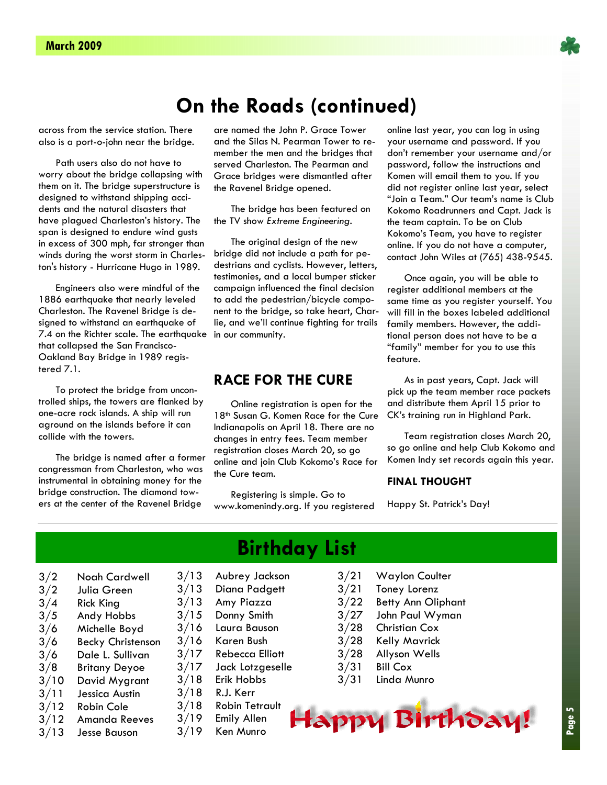![](_page_4_Picture_1.jpeg)

# **On the Roads (continued)**

across from the service station. There also is a port-o-john near the bridge.

Path users also do not have to worry about the bridge collapsing with them on it. The bridge superstructure is designed to withstand shipping accidents and the natural disasters that have plagued Charleston's history. The span is designed to endure wind gusts in excess of 300 mph, far stronger than winds during the worst storm in Charleston's history - Hurricane Hugo in 1989.

Engineers also were mindful of the 1886 earthquake that nearly leveled Charleston. The Ravenel Bridge is designed to withstand an earthquake of 7.4 on the Richter scale. The earthquake that collapsed the San Francisco-Oakland Bay Bridge in 1989 registered 7.1.

To protect the bridge from uncontrolled ships, the towers are flanked by one-acre rock islands. A ship will run aground on the islands before it can collide with the towers.

The bridge is named after a former congressman from Charleston, who was instrumental in obtaining money for the bridge construction. The diamond towers at the center of the Ravenel Bridge

are named the John P. Grace Tower and the Silas N. Pearman Tower to remember the men and the bridges that served Charleston. The Pearman and Grace bridges were dismantled after the Ravenel Bridge opened.

The bridge has been featured on the TV show *Extreme Engineering.* 

The original design of the new bridge did not include a path for pedestrians and cyclists. However, letters, testimonies, and a local bumper sticker campaign influenced the final decision to add the pedestrian/bicycle component to the bridge, so take heart, Charlie, and we'll continue fighting for trails in our community.

### **RACE FOR THE CURE**

Online registration is open for the 18<sup>th</sup> Susan G. Komen Race for the Cure Indianapolis on April 18. There are no changes in entry fees. Team member registration closes March 20, so go online and join Club Kokomo's Race for the Cure team.

Registering is simple. Go to www.komenindy.org. If you registered online last year, you can log in using your username and password. If you don't remember your username and/or password, follow the instructions and Komen will email them to you. If you did not register online last year, select "Join a Team." Our team's name is Club Kokomo Roadrunners and Capt. Jack is the team captain. To be on Club Kokomo's Team, you have to register online. If you do not have a computer, contact John Wiles at (765) 438-9545.

Once again, you will be able to register additional members at the same time as you register yourself. You will fill in the boxes labeled additional family members. However, the additional person does not have to be a "family" member for you to use this feature.

As in past years, Capt. Jack will pick up the team member race packets and distribute them April 15 prior to CK's training run in Highland Park.

Team registration closes March 20, so go online and help Club Kokomo and Komen Indy set records again this year.

#### **FINAL THOUGHT**

Happy St. Patrick's Day!

- 3/2 Noah Cardwell
- 3/2 Julia Green
- 3/4 Rick King
- 3/5 Andy Hobbs
- 3/6 Michelle Boyd
- 3/6 Becky Christenson
- 3/6 Dale L. Sullivan
- 3/8 Britany Deyoe
- 3/10 David Mygrant
- 3/11 Jessica Austin
- 3/12 Robin Cole
- 3/12 Amanda Reeves
- 3/13 Jesse Bauson
- **Birthday List**
- 3/13 Aubrey Jackson
- 3/13 Diana Padgett
- 3/13 Amy Piazza
- 3/15 Donny Smith
- 3/16 Laura Bauson
- 3/16 Karen Bush
- 3/17 Rebecca Elliott
- 3/17 Jack Lotzgeselle
- 3/18 Erik Hobbs
- 3/18 R.J. Kerr
- 3/18 Robin Tetrault
- 3/19 Emily Allen
- 3/19 Ken Munro
- 3/21 Waylon Coulter
- 3/21 Toney Lorenz
- 3/22 Betty Ann Oliphant
- 3/27 John Paul Wyman
- 3/28 Christian Cox
- 3/28 Kelly Mavrick
- 3/28 Allyson Wells
- $3/31$  Bill Cox
- 3/31 Linda Munro

![](_page_4_Picture_56.jpeg)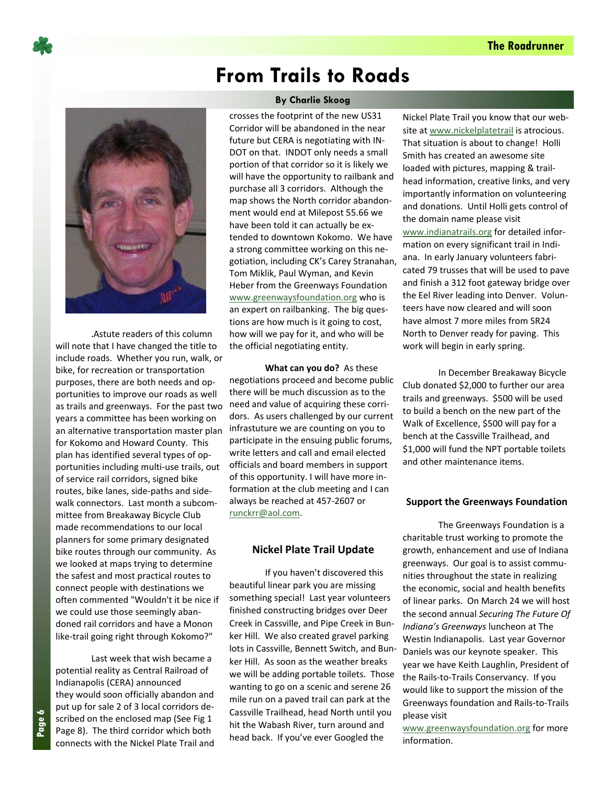![](_page_5_Picture_1.jpeg)

.Astute readers of this column will note that I have changed the title to include roads. Whether you run, walk, or bike, for recreation or transportation purposes, there are both needs and op‐ portunities to improve our roads as well as trails and greenways. For the past two years a committee has been working on an alternative transportation master plan for Kokomo and Howard County. This plan has identified several types of op‐ portunities including multi‐use trails, out of service rail corridors, signed bike routes, bike lanes, side‐paths and side‐ walk connectors. Last month a subcommittee from Breakaway Bicycle Club made recommendations to our local planners for some primary designated bike routes through our community. As we looked at maps trying to determine the safest and most practical routes to connect people with destinations we often commented "Wouldn't it be nice if we could use those seemingly aban‐ doned rail corridors and have a Monon like-trail going right through Kokomo?"

 Last week that wish became a potential reality as Central Railroad of Indianapolis (CERA) announced they would soon officially abandon and put up for sale 2 of 3 local corridors de‐ scribed on the enclosed map (See Fig 1 Page 8). The third corridor which both connects with the Nickel Plate Trail and

# **From Trails to Roads**

#### **By Charlie Skoog**

crosses the footprint of the new US31 Corridor will be abandoned in the near future but CERA is negotiating with IN‐ DOT on that. INDOT only needs a small portion of that corridor so it is likely we will have the opportunity to railbank and purchase all 3 corridors. Although the map shows the North corridor abandon‐ ment would end at Milepost 55.66 we have been told it can actually be ex‐ tended to downtown Kokomo. We have a strong committee working on this ne‐ gotiation, including CK's Carey Stranahan, Tom Miklik, Paul Wyman, and Kevin Heber from the Greenways Foundation www.greenwaysfoundation.org who is an expert on railbanking. The big questions are how much is it going to cost, how will we pay for it, and who will be the official negotiating entity.

 **What can you do?** As these negotiations proceed and become public there will be much discussion as to the need and value of acquiring these corri‐ dors. As users challenged by our current infrastuture we are counting on you to participate in the ensuing public forums, write letters and call and email elected officials and board members in support of this opportunity. I will have more in‐ formation at the club meeting and I can always be reached at 457‐2607 or runckrr@aol.com.

#### **Nickel Plate Trail Update**

If you haven't discovered this beautiful linear park you are missing something special! Last year volunteers finished constructing bridges over Deer Creek in Cassville, and Pipe Creek in Bun‐ ker Hill. We also created gravel parking lots in Cassville, Bennett Switch, and Bun‐ ker Hill. As soon as the weather breaks we will be adding portable toilets. Those wanting to go on a scenic and serene 26 mile run on a paved trail can park at the Cassville Trailhead, head North until you hit the Wabash River, turn around and head back. If you've ever Googled the

Nickel Plate Trail you know that our web‐ site at www.nickelplatetrail is atrocious. That situation is about to change! Holli Smith has created an awesome site loaded with pictures, mapping & trail‐ head information, creative links, and very importantly information on volunteering and donations. Until Holli gets control of the domain name please visit www.indianatrails.org for detailed infor‐ mation on every significant trail in Indi‐ ana. In early January volunteers fabri‐ cated 79 trusses that will be used to pave and finish a 312 foot gateway bridge over the Eel River leading into Denver. Volun‐ teers have now cleared and will soon have almost 7 more miles from SR24 North to Denver ready for paving. This work will begin in early spring.

In December Breakaway Bicycle Club donated \$2,000 to further our area trails and greenways. \$500 will be used to build a bench on the new part of the Walk of Excellence, \$500 will pay for a bench at the Cassville Trailhead, and \$1,000 will fund the NPT portable toilets and other maintenance items.

#### **Support the Greenways Foundation**

The Greenways Foundation is a charitable trust working to promote the growth, enhancement and use of Indiana greenways. Our goal is to assist commu‐ nities throughout the state in realizing the economic, social and health benefits of linear parks. On March 24 we will host the second annual *Securing The Future Of Indiana's Greenways* luncheon at The Westin Indianapolis. Last year Governor Daniels was our keynote speaker. This year we have Keith Laughlin, President of the Rails‐to‐Trails Conservancy. If you would like to support the mission of the Greenways foundation and Rails‐to‐Trails please visit

www.greenwaysfoundation.org for more information.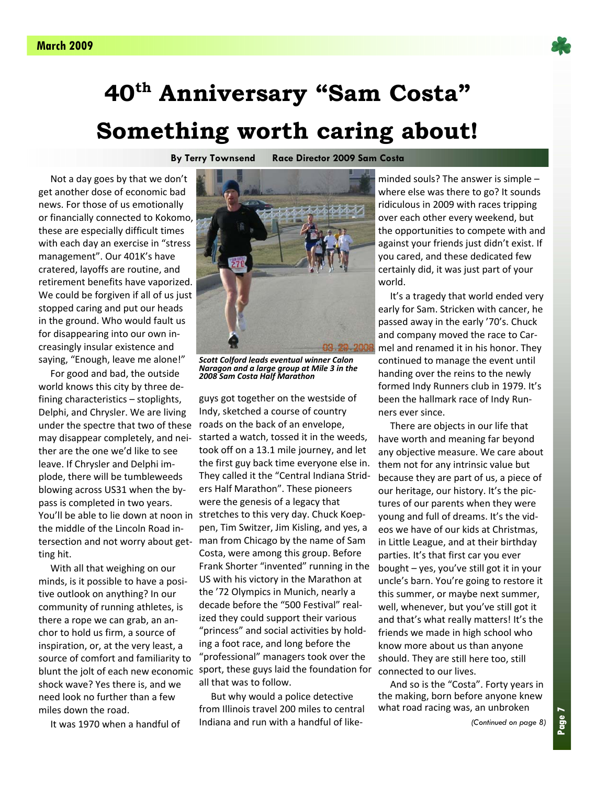![](_page_6_Picture_1.jpeg)

# **40th Anniversary "Sam Costa" Something worth caring about!**

**By Terry Townsend Race Director 2009 Sam Costa** 

 Not a day goes by that we don't get another dose of economic bad news. For those of us emotionally or financially connected to Kokomo, these are especially difficult times with each day an exercise in "stress management". Our 401K's have cratered, layoffs are routine, and retirement benefits have vaporized. We could be forgiven if all of us just stopped caring and put our heads in the ground. Who would fault us for disappearing into our own in‐ creasingly insular existence and saying, "Enough, leave me alone!"

 For good and bad, the outside world knows this city by three de‐ fining characteristics – stoplights, Delphi, and Chrysler. We are living under the spectre that two of these may disappear completely, and nei‐ ther are the one we'd like to see leave. If Chrysler and Delphi im‐ plode, there will be tumbleweeds blowing across US31 when the by‐ pass is completed in two years. the middle of the Lincoln Road in‐ tersection and not worry about get‐ ting hit.

 With all that weighing on our minds, is it possible to have a posi‐ tive outlook on anything? In our community of running athletes, is there a rope we can grab, an an‐ chor to hold us firm, a source of inspiration, or, at the very least, a source of comfort and familiarity to blunt the jolt of each new economic shock wave? Yes there is, and we need look no further than a few miles down the road.

It was 1970 when a handful of

![](_page_6_Picture_8.jpeg)

*Scott Colford leads eventual winner Calon Naragon and a large group at Mile 3 in the 2008 Sam Costa Half Marathon*

guys got together on the westside of Indy, sketched a course of country roads on the back of an envelope, started a watch, tossed it in the weeds, took off on a 13.1 mile journey, and let the first guy back time everyone else in. They called it the "Central Indiana Strid‐ ers Half Marathon". These pioneers were the genesis of a legacy that You'll be able to lie down at noon in stretches to this very day. Chuck Koeppen, Tim Switzer, Jim Kisling, and yes, a man from Chicago by the name of Sam Costa, were among this group. Before Frank Shorter "invented" running in the US with his victory in the Marathon at the '72 Olympics in Munich, nearly a decade before the "500 Festival" real‐ ized they could support their various "princess" and social activities by hold‐ ing a foot race, and long before the "professional" managers took over the sport, these guys laid the foundation for all that was to follow.

> But why would a police detective from Illinois travel 200 miles to central Indiana and run with a handful of like‐

minded souls? The answer is simple – where else was there to go? It sounds ridiculous in 2009 with races tripping over each other every weekend, but the opportunities to compete with and against your friends just didn't exist. If you cared, and these dedicated few certainly did, it was just part of your world.

 It's a tragedy that world ended very early for Sam. Stricken with cancer, he passed away in the early '70's. Chuck and company moved the race to Car‐ mel and renamed it in his honor. They continued to manage the event until handing over the reins to the newly formed Indy Runners club in 1979. It's been the hallmark race of Indy Run‐ ners ever since.

 There are objects in our life that have worth and meaning far beyond any objective measure. We care about them not for any intrinsic value but because they are part of us, a piece of our heritage, our history. It's the pic‐ tures of our parents when they were young and full of dreams. It's the vid‐ eos we have of our kids at Christmas, in Little League, and at their birthday parties. It's that first car you ever bought – yes, you've still got it in your uncle's barn. You're going to restore it this summer, or maybe next summer, well, whenever, but you've still got it and that's what really matters! It's the friends we made in high school who know more about us than anyone should. They are still here too, still connected to our lives.

 And so is the "Costa". Forty years in the making, born before anyone knew what road racing was, an unbroken

*(Continued on page 8)*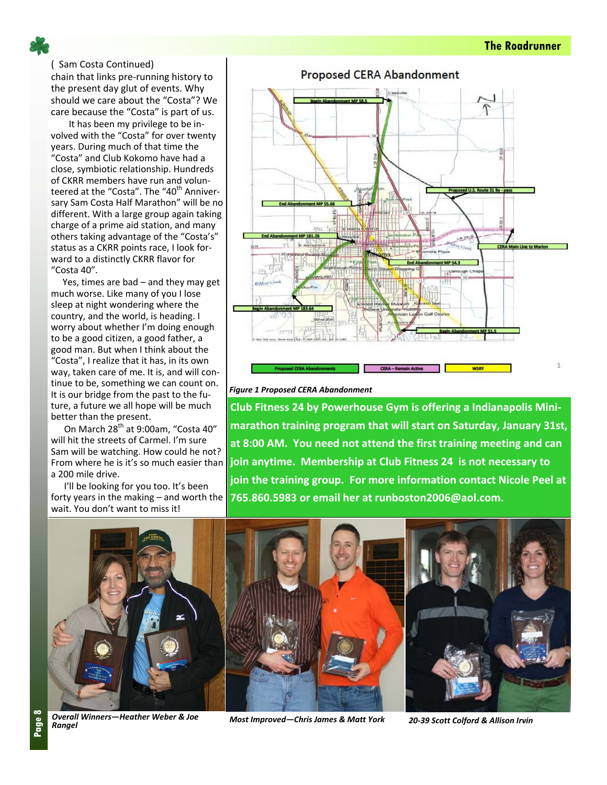( Sam Costa Continued) chain that links pre‐running history to the present day glut of events. Why should we care about the "Costa"? We care because the "Costa" is part of us.

It has been my privilege to be in‐ volved with the "Costa" for over twenty years. During much of that time the "Costa" and Club Kokomo have had a close, symbiotic relationship. Hundreds of CKRR members have run and volun‐ teered at the "Costa". The "40<sup>th</sup> Anniversary Sam Costa Half Marathon" will be no different. With a large group again taking charge of a prime aid station, and many others taking advantage of the "Costa's" status as a CKRR points race, I look for‐ ward to a distinctly CKRR flavor for "Costa 40".

 Yes, times are bad – and they may get much worse. Like many of you I lose sleep at night wondering where the country, and the world, is heading. I worry about whether I'm doing enough to be a good citizen, a good father, a good man. But when I think about the "Costa", I realize that it has, in its own way, taken care of me. It is, and will continue to be, something we can count on. It is our bridge from the past to the fu‐ ture, a future we all hope will be much better than the present.

On March 28<sup>th</sup> at 9:00am, "Costa 40" will hit the streets of Carmel. I'm sure Sam will be watching. How could he not? a 200 mile drive.

I'll be looking for you too. It's been wait. You don't want to miss it!

![](_page_7_Figure_6.jpeg)

#### *Figure 1 Proposed CERA Abandonment*

From where he is it's so much easier than **join anytime. Membership at Club Fitness 24 is not necessary to** forty years in the making – and worth the **765.860.5983 or email her at runboston2006@aol.com. Club Fitness 24 by Powerhouse Gym is offering a Indianapolis Mini‐ marathon training program that will start on Saturday, January 31st, at 8:00 AM. You need not attend the first training meeting and can join the training group. For more information contact Nicole Peel at**

![](_page_7_Picture_9.jpeg)

*Overall Winners—Heather Weber & Joe*

*Rangel Most Improved—Chris James & Matt York <sup>20</sup>‐<sup>39</sup> Scott Colford & Allison Irvin*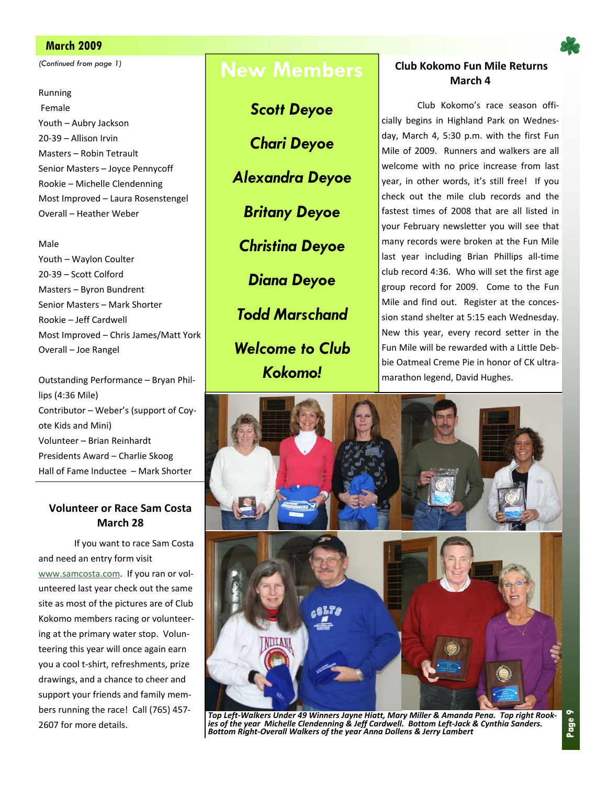#### **March 2009 Page 9**

#### Running

Female Youth – Aubry Jackson 20‐39 – Allison Irvin Masters – Robin Tetrault Senior Masters – Joyce Pennycoff Rookie – Michelle Clendenning Most Improved – Laura Rosenstengel Overall – Heather Weber

#### Male

Youth – Waylon Coulter 20‐39 – Scott Colford Masters – Byron Bundrent Senior Masters – Mark Shorter Rookie – Jeff Cardwell Most Improved – Chris James/Matt York Overall – Joe Rangel

Outstanding Performance – Bryan Phil‐ lips (4:36 Mile) Contributor – Weber's (support of Coy‐ ote Kids and Mini) Volunteer – Brian Reinhardt Presidents Award – Charlie Skoog Hall of Fame Inductee – Mark Shorter

#### **Volunteer or Race Sam Costa March 28**

If you want to race Sam Costa and need an entry form visit www.samcosta.com. If you ran or vol‐ unteered last year check out the same site as most of the pictures are of Club Kokomo members racing or volunteer‐ ing at the primary water stop. Volun‐ teering this year will once again earn you a cool t‐shirt, refreshments, prize drawings, and a chance to cheer and support your friends and family mem‐ bers running the race! Call (765) 457‐ 2607 for more details.

*Scott Deyoe* 

*Chari Deyoe* 

*Alexandra Deyoe* 

*Britany Deyoe* 

*Christina Deyoe* 

*Diana Deyoe* 

*Todd Marschand* 

*Welcome to Club Kokomo!* 

#### *Continued from page 1)* **Continued from page 1) Club Kokomo Fun Mile Returns March 4**

Club Kokomo's race season offi‐ cially begins in Highland Park on Wednes‐ day, March 4, 5:30 p.m. with the first Fun Mile of 2009. Runners and walkers are all welcome with no price increase from last year, in other words, it's still free! If you check out the mile club records and the fastest times of 2008 that are all listed in your February newsletter you will see that many records were broken at the Fun Mile last year including Brian Phillips all‐time club record 4:36. Who will set the first age group record for 2009. Come to the Fun Mile and find out. Register at the concession stand shelter at 5:15 each Wednesday. New this year, every record setter in the Fun Mile will be rewarded with a Little Deb‐ bie Oatmeal Creme Pie in honor of CK ultra‐ marathon legend, David Hughes.

![](_page_8_Picture_20.jpeg)

Top Left-Walkers Under 49 Winners Jayne Hiatt, Mary Miller & Amanda Pena. Top right Rook-<br>ies of the year Michelle Clendenning & Jeff Cardwell. Bottom Left-Jack & Cynthia Sanders. *Bottom Right‐Overall Walkers of the year Anna Dollens & Jerry Lambert*

![](_page_8_Picture_22.jpeg)

**Page 9**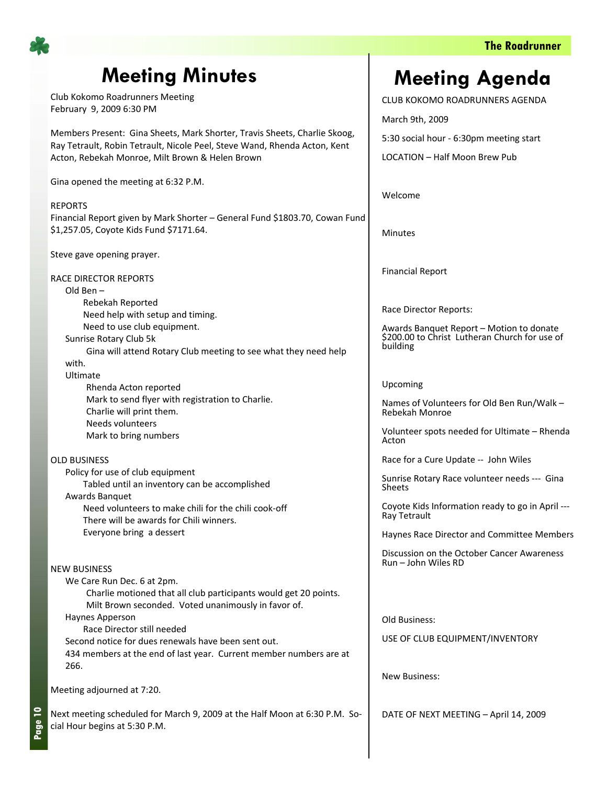![](_page_9_Picture_1.jpeg)

# **Meeting Minutes**

Club Kokomo Roadrunners Meeting February 9, 2009 6:30 PM

Members Present: Gina Sheets, Mark Shorter, Travis Sheets, Charlie Skoog, Ray Tetrault, Robin Tetrault, Nicole Peel, Steve Wand, Rhenda Acton, Kent Acton, Rebekah Monroe, Milt Brown & Helen Brown

Gina opened the meeting at 6:32 P.M.

#### REPORTS

Financial Report given by Mark Shorter – General Fund \$1803.70, Cowan Fund \$1,257.05, Coyote Kids Fund \$7171.64.

Steve gave opening prayer.

RACE DIRECTOR REPORTS

#### Old Ben –

Rebekah Reported Need help with setup and timing. Need to use club equipment.

Sunrise Rotary Club 5k

 Gina will attend Rotary Club meeting to see what they need help with.

#### Ultimate

 Rhenda Acton reported Mark to send flyer with registration to Charlie. Charlie will print them. Needs volunteers Mark to bring numbers

#### OLD BUSINESS

Policy for use of club equipment Tabled until an inventory can be accomplished Awards Banquet Need volunteers to make chili for the chili cook‐off There will be awards for Chili winners. Everyone bring a dessert

#### NEW BUSINESS

We Care Run Dec. 6 at 2pm. Charlie motioned that all club participants would get 20 points. Milt Brown seconded. Voted unanimously in favor of.

#### Haynes Apperson

Race Director still needed Second notice for dues renewals have been sent out. 434 members at the end of last year. Current member numbers are at 266.

Meeting adjourned at 7:20.

Next meeting scheduled for March 9, 2009 at the Half Moon at 6:30 P.M. So‐ cial Hour begins at 5:30 P.M.

# **Meeting Agenda**

CLUB KOKOMO ROADRUNNERS AGENDA

March 9th, 2009 5:30 social hour ‐ 6:30pm meeting start LOCATION – Half Moon Brew Pub

Welcome

Minutes

Financial Report

Race Director Reports:

Awards Banquet Report – Motion to donate \$200.00 to Christ Lutheran Church for use of building

#### Upcoming

Names of Volunteers for Old Ben Run/Walk – Rebekah Monroe

Volunteer spots needed for Ultimate – Rhenda Acton

Race for a Cure Update ‐‐ John Wiles

Sunrise Rotary Race volunteer needs ‐‐‐ Gina Sheets

Coyote Kids Information ready to go in April ‐‐‐ Ray Tetrault

Haynes Race Director and Committee Members

Discussion on the October Cancer Awareness Run – John Wiles RD

Old Business:

USE OF CLUB EQUIPMENT/INVENTORY

New Business:

DATE OF NEXT MEETING – April 14, 2009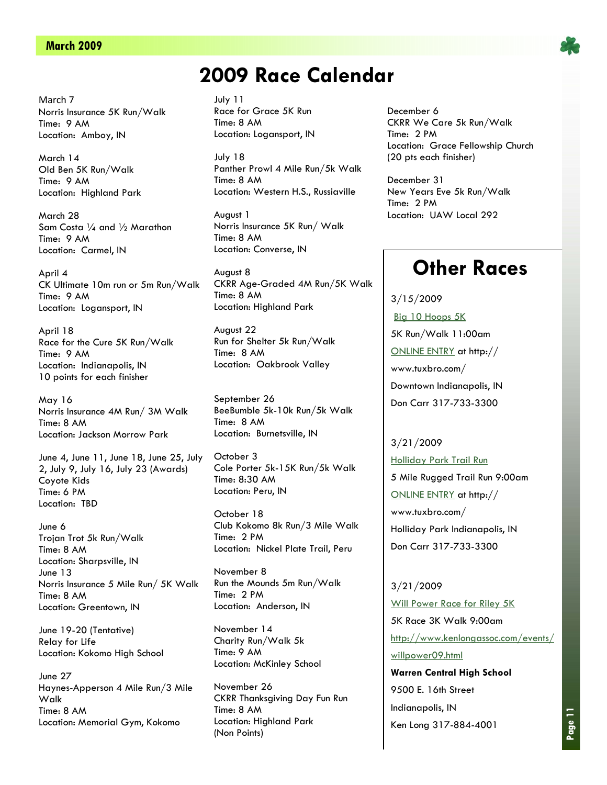#### **March 2009 Page 11**

March 7 Norris Insurance 5K Run/Walk Time: 9 AM Location: Amboy, IN

March 14 Old Ben 5K Run/Walk Time: 9 AM Location: Highland Park

March 28 Sam Costa 1/4 and 1/2 Marathon Time: 9 AM Location: Carmel, IN

April 4 CK Ultimate 10m run or 5m Run/Walk Time: 9 AM Location: Logansport, IN

April 18 Race for the Cure 5K Run/Walk Time: 9 AM Location: Indianapolis, IN 10 points for each finisher

May 16 Norris Insurance 4M Run/ 3M Walk Time: 8 AM Location: Jackson Morrow Park

June 4, June 11, June 18, June 25, July 2, July 9, July 16, July 23 (Awards) Coyote Kids Time: 6 PM Location: TBD

June 6 Trojan Trot 5k Run/Walk Time: 8 AM Location: Sharpsville, IN June 13 Norris Insurance 5 Mile Run/ 5K Walk Time: 8 AM Location: Greentown, IN

June 19-20 (Tentative) Relay for Life Location: Kokomo High School

June 27 Haynes-Apperson 4 Mile Run/3 Mile Walk Time: 8 AM Location: Memorial Gym, Kokomo

# **2009 Race Calendar**

July 11 Race for Grace 5K Run Time: 8 AM Location: Logansport, IN

July 18 Panther Prowl 4 Mile Run/5k Walk Time: 8 AM Location: Western H.S., Russiaville

August 1 Norris Insurance 5K Run/ Walk Time: 8 AM Location: Converse, IN

August 8 CKRR Age-Graded 4M Run/5K Walk Time: 8 AM Location: Highland Park

August 22 Run for Shelter 5k Run/Walk Time: 8 AM Location: Oakbrook Valley

September 26 BeeBumble 5k-10k Run/5k Walk Time: 8 AM Location: Burnetsville, IN

October 3 Cole Porter 5k-15K Run/5k Walk Time: 8:30 AM Location: Peru, IN

October 18 Club Kokomo 8k Run/3 Mile Walk Time: 2 PM Location: Nickel Plate Trail, Peru

November 8 Run the Mounds 5m Run/Walk Time: 2 PM Location: Anderson, IN

November 14 Charity Run/Walk 5k Time: 9 AM Location: McKinley School

November 26 CKRR Thanksgiving Day Fun Run Time: 8 AM Location: Highland Park (Non Points)

December 6 CKRR We Care 5k Run/Walk Time: 2 PM Location: Grace Fellowship Church (20 pts each finisher)

December 31 New Years Eve 5k Run/Walk Time: 2 PM Location: UAW Local 292

## **Other Races**

3/15/2009 Big 10 Hoops 5K 5K Run/Walk 11:00am ONLINE ENTRY at http:// www.tuxbro.com/ Downtown Indianapolis, IN Don Carr 317-733-3300

3/21/2009 Holliday Park Trail Run 5 Mile Rugged Trail Run 9:00am ONLINE ENTRY at http:// www.tuxbro.com/ Holliday Park Indianapolis, IN Don Carr 317-733-3300

3/21/2009 Will Power Race for Riley 5K 5K Race 3K Walk 9:00am http://www.kenlongassoc.com/events/ willpower09.html

**Warren Central High School** 9500 E. 16th Street Indianapolis, IN Ken Long 317-884-4001

![](_page_10_Picture_31.jpeg)